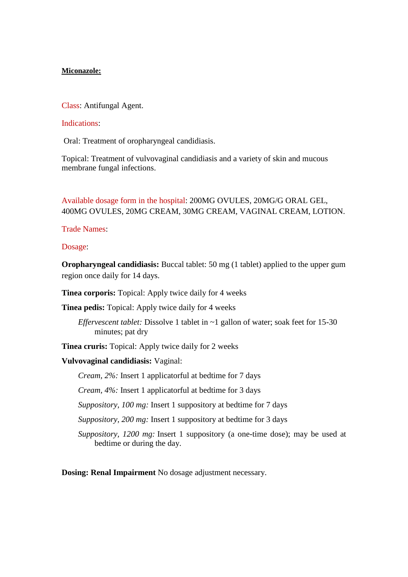## **Miconazole:**

Class: Antifungal Agent.

## Indications:

Oral: Treatment of oropharyngeal candidiasis.

Topical: Treatment of vulvovaginal candidiasis and a variety of skin and mucous membrane fungal infections.

## Available dosage form in the hospital: 200MG OVULES, 20MG/G ORAL GEL, 400MG OVULES, 20MG CREAM, 30MG CREAM, VAGINAL CREAM, LOTION.

Trade Names:

Dosage:

**Oropharyngeal candidiasis:** Buccal tablet: 50 mg (1 tablet) applied to the upper gum region once daily for 14 days.

**Tinea corporis:** Topical: Apply twice daily for 4 weeks

**Tinea pedis:** Topical: Apply twice daily for 4 weeks

*Effervescent tablet:* Dissolve 1 tablet in ~1 gallon of water; soak feet for 15-30 minutes; pat dry

**Tinea cruris:** Topical: Apply twice daily for 2 weeks

**Vulvovaginal candidiasis:** Vaginal:

*Cream, 2%:* Insert 1 applicatorful at bedtime for 7 days

*Cream, 4%:* Insert 1 applicatorful at bedtime for 3 days

*Suppository, 100 mg:* Insert 1 suppository at bedtime for 7 days

*Suppository, 200 mg:* Insert 1 suppository at bedtime for 3 days

*Suppository, 1200 mg:* Insert 1 suppository (a one-time dose); may be used at bedtime or during the day.

**Dosing: Renal Impairment** No dosage adjustment necessary.